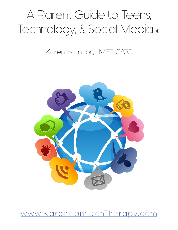# A Parent Guide to Teens, Technology, & Social Media ®

Karen Hamilton, LMFT, CATC



www.KarenHamiltonTherapy.com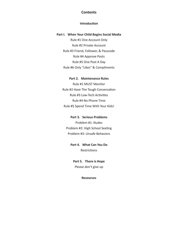#### **Contents**

#### **Introduction**

#### **Part I. When Your Child Begins Social Media**

Rule #1 One Account Only Rule #2 Private Account Rule #3 Friend, Follower, & Passcode Rule #4 Approve Posts Rule #5 One Post A Day Rule #6 Only "Likes" & Compliments

#### **Part 2. Maintenance Rules**

Rule #1 MUST Monitor Rule #2 Have The Tough Conversation Rule #3 Low-Tech Activities Rule #4 No Phone Time Rule #5 Spend Time With Your Kids!

#### **Part 3. Serious Problems**

Problem #1: Nudes Problem #2: High School Sexting Problem #3: Unsafe Behaviors

## **Part 4. What Can You Do Restrictions**

**Part 5. There is Hope**  Please don't give up

#### **Resources**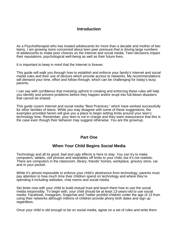# **Introduction**

As a Psychotherapist who has treated adolescents for more than a decade and mother of two teens, I am growing more concerned about teen peer pressure that is driving large numbers of adolescents to make poor choices on the Internet and social media. Teen decisions impact their reputations, psychological well-being as well as their future lives.

It is important to keep in mind that the Internet is forever.

This guide will walk you through how to establish and enforce your family's Internet and social media rules and their use of devices which provide access to networks. My recommendations will demand your time, effort and follow-through, which can be challenging for today's busy parents.

I can say with confidence that investing upfront in creating and enforcing these rules will help you identify and prevent problems before they happen and/or erupt into full-blown disasters that cannot be erased.

This guide covers Internet and social media "Best Practices," which have worked successfully for other families of teens. While you may disagree with some of these suggestions, the examples provided herein will give you a place to begin setting limits around your teen's technology time. Remember, your teen is not in charge and they want reassurance that this is the case even though their behavior may suggest otherwise. You are the grownup.

# **Part One**

# **When Your Child Begins Social Media**

Technology and all its good, bad and ugly effects is here to stay. You can try to make computers, tablets, cell phones and wearables off limits to your child, but it's not realistic. There are computers in the classroom, library, friends' homes, workplace, grocery store, car and in your pocket.

While it's almost impossible to enforce your child's abstinence from technology, parents must pay attention to how much time their children spend on technology and where they're spending it including websites, chat rooms and social media.

Set limits now with your child to build mutual trust and teach them how to use the social media responsibly. To begin with, your child should be at least 13-years-old to use social media. Facebook, Instagram, Snapchat and Twitter prohibit children under the age of 13 from using their networks although millions of children provide phony birth dates and sign up regardless.

Once your child is old enough to be on social media, agree on a set of rules and write them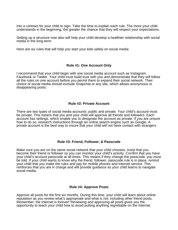into a contract for your child to sign. Take the time to explain each rule. The more your child understands in the beginning, the greater the chance that they will respect your expectations.

Setting up a structure now also will help your child develop a healthier relationship with social media in the long-term.

Here are six rules that will help you start your kids safely on social media:

## **Rule #1: One Account Only**

I recommend that your child begin with one social media account such as Instagram, Facebook or Twitter. Your child must build trust with you and demonstrate that they will follow all the rules on one account before you permit them to expand their social network. Their choice of social media should exclude Snapchat or any site, which allows anonymous or disappearing posts.

## **Rule #2: Private Account**

There are two types of social media accounts: public and private. Your child's account must be private. This means that you and your child will approve all friends and followers. Each account has settings, which enable you to designate the account as private. If you are unsure how to do so, research instructions through an online search engine such as Google. A private account is the best way to insure that your child will not have contact with strangers.

#### **Rule #3: Friend, Follower, & Passcode**

Make sure you are on the same social network that your child chooses. Insist that you become their friend or follower so you can monitor your child's activity. Confirm that you have your child's account passcode at all times. This means if they change the passcode, you must be told. If your child wants to know why the friend, follower, passcode rule is in place, remind your child that you make the rules and pay for mobile phones and Internet service. This reinforces that you are in charge and will provide guidance as your child learns to navigate social media.

## **Rule #4: Approve Posts**

Approve all posts for the first six months. During this time, your child will learn about online reputation as you review what's appropriate and what is not, including other friend posts. Remember: the Internet is forever! Reviewing and approving all posts gives you the opportunity to teach your child how to avoid putting anything regrettable on the Internet.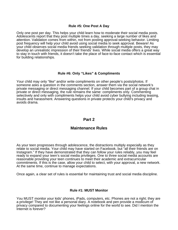### **Rule #5: One Post A Day**

Only one post per day. This helps your child learn how to moderate their social media posts. Adolescents report that they post multiple times a day, seeking a large number of likes and attention. Validation comes from within, not from posting approval-seeking behavior. Limiting post frequency will help your child avoid using social media to seek approval. Beware! As your child observes social media friends seeking validation through multiple posts, they may develop an unrealistic impression of their friends' lives. While social media offers a great way to stay in touch with friends, it doesn't take the place of face-to-face contact which is essential for building relationships.

### **Rule #6: Only "Likes" & Compliments**

Your child may only "like" and/or write compliments on other people's posts/photos. If someone asks a question in the comments section, answer them via the social network's private messaging or direct messaging channel. If your child becomes part of a group chat in private or direct messaging, the rule remains the same: compliments only. Commenting selectively and only with compliments helps your child avoid cyber bullying including teasing, insults and harassment. Answering questions in private protects your child's privacy and avoids drama.

# **Part 2**

# **Maintenance Rules**

As your teen progresses through adolescence, the distractions multiply especially as they relate to social media. Your child may have started on Facebook, but "all their friends are on Instagram." If they have demonstrated that they can follow your rules reliably, you may feel ready to expand your teen's social media privileges. One to three social media accounts are reasonable providing your teen continues to meet their academic and extracurricular commitments. If this is the case, allow your child to select, with your approval, a new network. At the same time, continue to manage expectations.

Once again, a clear set of rules is essential for maintaining trust and social media discipline.

#### **Rule #1: MUST Monitor**

You MUST monitor your kids' phones, iPads, computers, etc. Phones are not a right; they are a privilege! They are not like a personal diary. A notebook and pen provide a modicum of privacy compared to documenting your feelings online for the world to see. Did I mention the Internet is forever?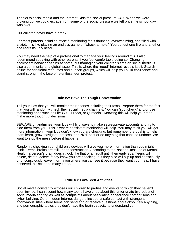Thanks to social media and the Internet, kids feel social pressure 24/7. When we were growing up, we could escape from some of the social pressure we felt once the school day was over.

Our children never have a break.

For most parents including myself, monitoring feels daunting, overwhelming, and filled with anxiety. It's like playing an endless game of "whack-a-mole." You put out one fire and another one rears its ugly head.

You may need the help of a professional to manage your feelings around this. I also recommend speaking with other parents if you feel comfortable doing so. Changing adolescent behavior begins at home, but managing your children's time on social media is also a community and global issue. This is where the "good" Internet reveals itself. Search online for additional resources and support groups, which will help you build confidence and stand strong in the face of relentless teen protest.

#### **Rule #2: Have The Tough Conversation**

Tell your kids that you will monitor their phones including their texts. Prepare them for the fact that you will randomly check their social media channels. You can "spot check" and/or use monitoring apps such as Life360, Ourpact, or Qustodio. Knowing this will help your teen make more thoughtful decisions.

BEWARE of landmines: your kids will find ways to make secret/private accounts and try to hide them from you. This is where consistent monitoring will help. You may think you will get more information if your kids don't know you are checking, but remember the goal is to help them learn, grow, navigate, process, and NOT post or do anything that can't be undone. We want to stop the mess before it happens.

Randomly checking your children's devices will give you more information than you might think. Teens' brains are still under construction. According to the National Institute of Mental Health, a person's brain doesn't look like that of an adult until their early 20s. Teens will delete, delete, delete if they know you are checking, but they also will slip up and consciously or unconsciously leave information where you can see it because they want your help. I have observed this scenario many times.

#### **Rule #3: Low-Tech Activities**

Social media constantly exposes our children to parties and events to which they haven't been invited. I can't count how many teens have cried about this unfortunate byproduct of social media sharing as well as complaints about peer-rating appearance comparisons and cyber-bullying. Other hidden Internet dangers include unsafe contact with strangers, anonymous sites where teens can send and/or receive questions about absolutely anything, and pornographic topics they don't have the brain capacity to understand yet.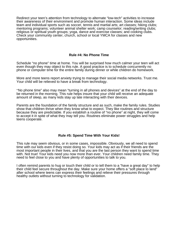Redirect your teen's attention from technology to alternate "low-tech" activities to increase their awareness of their environment and promote human interaction. Some ideas include team and individual sports such as soccer, tennis and martial arts; art classes; hiking clubs; mentoring programs; volunteer animal shelter work; camp counselor; reading/writing clubs; religious or spiritual youth groups; yoga, dance and exercise classes; and cooking clubs. Check your community center, church, school or local YMCA for classes and new opportunities.

### **Rule #4: No Phone Time**

Schedule "no phone" time at home. You will be surprised how much calmer your teen will act even though they may object to this rule. A good practice is to schedule concurrently no phone or computer time for the entire family during dinner or while children do homework.

More and more teens report anxiety trying to manage their social media networks. Trust me. Your child will be relieved to have a break from technology.

"No phone time" also may mean "turning in all phones and devices" at the end of the day to be returned in the morning. This rule helps insure that your child will receive an adequate amount of sleep, as many kids stay up late interacting with their devices.

Parents are the foundation of the family structure and as such, make the family rules. Studies show that children thrive when they know what to expect. They like routines and structure because they are predictable. If you establish a routine of "no phone" at night, they will come to accept it in spite of what they may tell you. Routines eliminate power struggles and help teens cooperate.

#### **Rule #5: Spend Time With Your Kids!**

This rule may seem obvious, or in some cases, impossible. Obviously, we all need to spend time with our kids even if they resist doing so. Your kids may act as if their friends are the most important people in their lives, and that you are the last person they want to spend time with. Not true! Your kids need you now more than ever. Your children need family time. They need to feel close to you and have plenty of opportunities to talk to you.

I often remind parents to hug or touch their child or to tell them to a "have a great day" to help their child feel secure throughout the day. Make sure your home offers a "soft place to land" after school where teens can express their feelings and relieve their pressures through healthy outlets without turning to technology for validation.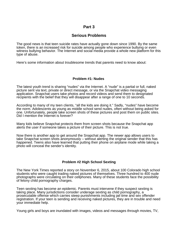# **Part 3**

# **Serious Problems**

The good news is that teen suicide rates have actually gone down since 1990. By the same token, there is an increased risk for suicide among people who experience bullying or even witness bullying behavior. The Internet and social media provide a whole new platform for this type of abuse.

Here's some information about troublesome trends that parents need to know about:

## **Problem #1: Nudes**

The latest youth trend is sharing "nudes" via the Internet. A "nude" is a partial or full, naked picture sent via text, private or direct message, or via the Snapchat video messaging application. Snapchat users take photos and record videos and send them to designated recipients with the belief that they will disappear after a range of one to 10 seconds.

According to many of my teen clients, "all the kids are doing it." Sadly, "nudes" have become the norm. Adolescents as young as middle school send nudes, often without being asked for one. Unfortunately, people take screen shots of these pictures and post them on public sites. Did I mention the Internet is forever?

Many kids believe Snapchat protects them from screen shots because the Snapchat app alerts the user if someone takes a picture of their picture. This is not true.

Now there is another app to get around the Snapchat app. The newer app allows users to take Snapchat screen shots anonymously – without alerting the original sender that this has happened. Teens also have learned that putting their phone on airplane mode while taking a photo will conceal the sender's identity.

## **Problem #2 High School Sexting**

The New York Times reported a story on November 6, 2015, about 100 Colorado high school students who were caught trading naked pictures of themselves. Three hundred to 400 nude photographs were circulating on their cellphones. Many of these students face the possibility of felony child pornography charges.

Teen sexting has become an epidemic. Parents must intervene if they suspect sexting is taking place. Many jurisdictions consider underage sexting as child pornography, a prosecutable offense which carries steep punishments including jail time and sex offender registration. If your teen is sending and receiving naked pictures, they are in trouble and need your immediate help.

Young girls and boys are inundated with images, videos and messages through movies, TV,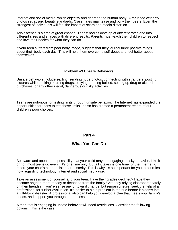Internet and social media, which objectify and degrade the human body. Airbrushed celebrity photos set absurd beauty standards. Classmates may tease and bully their peers. Even the strongest of individuals will feel the impact of scorn and media distortion.

Adolescence is a time of great change. Teens' bodies develop at different rates and into different sizes and shapes with different results. Parents must teach their children to respect and love their bodies for what they can do.

If your teen suffers from poor body image, suggest that they journal three positive things about their body each day. This will help them overcome self-doubt and feel better about themselves.

#### **Problem #3 Unsafe Behaviors**

Unsafe behaviors include sexting, sending nude photos, connecting with strangers, posting pictures while drinking or using drugs, bullying or being bullied, setting up drug or alcohol purchases, or any other illegal, dangerous or risky activities.

Teens are notorious for testing limits through unsafe behavior. The Internet has expanded the opportunities for teens to test those limits. It also has created a permanent record of our children's poor choices.

## **Part 4**

## **What You Can Do**

Be aware and open to the possibility that your child may be engaging in risky behavior. Like it or not, most teens do even if it's one time only. But all it takes is one time for the Internet to record your child's poor decision for posterity. This is why it's so important for you to set rules now regarding technology, Internet and social media use.

Take an assessment of yourself and your teen. Have their grades declined? Have they become angrier, more moody or detached from the family? Are they relying disproportionately on their friends? If you're sense any untoward change, but remain unsure, seek the help of a professional for further evaluation. It's easier to nip a problem in the bud before it blooms into a full-blown disaster. A professional also can help you develop a plan that meets your family's needs, and support you through the process.

A teen that is engaging in unsafe behavior will need restrictions. Consider the following options if this is the case: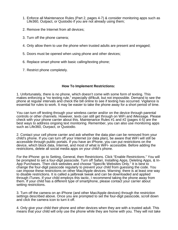- 1. Enforce all Maintenance Rules (Part 2, pages 4-7) & consider monitoring apps such as Life360, Outpact, or Qustodio if you are not already using them;
- 2. Remove the Internet from all devices;
- 3. Turn off the phone camera;
- 4. Only allow them to use the phone when trusted adults are present and engaged;
- 5. Doors must be opened when using phone and other devices;
- 6. Replace smart phone with basic calling/texting phone;
- 7. Restrict phone completely.

## **How To Implement Restrictions:**

1. Unfortunately, there is no phone, which doesn't come with some form of texting. This makes enforcing a "no texting rule," especially difficult, but not impossible. Demand to see the phone at regular intervals and check the bill online to see if texting has occurred. Vigilance is essential for rules to work. It may be easier to take the phone away for a short period of time.

You can turn off texting through your wireless carrier and/or on the device through parental controls or other channels. However, texts can still get through on WiFi and iMessage. Please check with your phone carrier about this. Maintenance Rules #1 and #2 (pages 4-5) are the best ways to address ongoing text monitoring. Remember, you can also use monitoring apps such as Life360, Ourpact, or Qustodio.

2. Contact your cell phone carrier and ask whether the data plan can be removed from your child's phone. If you can turn off your Internet (or data plan), be aware that WiFi will still be accessible through public portals. If you have an iPhone, you can put restrictions on the device, which block data, Internet, and most of what is WiFi- accessible. Before adding the restrictions, delete all social media apps on your child's phone.

For the iPhone: go to Setting, General, then Restrictions. Click "Enable Restrictions." You will be prompted to set a four-digit passcode. Turn off Safari, Installing Apps, Deleting Apps, & In-App Purchases. Then click websites and choose "Specific Websites Only." It is best to change the four-digit passcode regularly to prevent your child from guessing the code. You can impose these restrictions on other Mac/Apple devices. Warning: there is at least one way to disable restrictions. It is called a jailbreak tweak and can be downloaded and applied through iTunes. If your child employs this tactic, I recommend taking the phone away from them. If your child has a different type of smartphone, please contact your carrier about setting restrictions.

3. Turn off the camera on an iPhone (and other Mac/Apple devices) through the restriction settings described above. Once you are prompted to set the four-digit passcode, scroll down and click the camera icon to turn it off.

4. Only give your child their phone and other devices when they are with a trusted adult. This means that your child will only use the phone while they are home with you. They will not take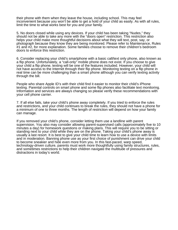their phone with them when they leave the house, including school. This may feel inconvenient because you won't be able to get a hold of your child as easily. As with all rules, limit the time to what works best for you and your family.

5. No doors closed while using any devices. If your child has been taking "Nudes," they should not be able to take any more with the "doors open" restriction. This restriction also helps your child make more thoughtful decisions about what they will text, post, say, or photograph because they know they are being monitored. Please refer to Maintenance, Rules #1 and #2, for more explanation. Some families choose to remove their children's bedroom doors to enforce this restriction.

6. Consider replacing your child's smartphone with a basic call/text only phone, also known as a flip phone. Unfortunately, a "call-only" mobile phone does not exist. If you choose to give your child a flip phone, texting will be one of the features included. However, your child will not have access to the Internet through their flip phone. Monitoring texting on a flip phone in real time can be more challenging than a smart phone although you can verify texting activity through the bill.

People who share Apple ID's with their child find it easier to monitor their child's iPhone texting. Parental controls on smart phone and some flip phones also facilitate text monitoring. Information and services are always changing so please verify these recommendations with your cell phone carrier.

7. If all else fails, take your child's phone away completely. If you tried to enforce the rules and restrictions, and your child continues to break the rules, they should not have a phone for a minimum of one to three months. The length of restriction will depend on how your family can manage.

If you removed your child's phone, consider letting them use a landline with parent supervision. You also may consider allowing parent-supervised calls (approximately five to 10 minutes a day) for homework questions or making plans. This will require you to be sitting or standing next to your child while they are on the phone. Taking your child's phone away is usually a last resort. It is best to give your child time to learn how to use a device with limits and in moderation. Banning phone use as your first choice of punishment can drive your child to become sneakier and hide even more from you. In this fast-paced, warp speed, technology-driven culture, parents must work more thoughtfully using family structures, rules, and sometimes restrictions to help their children navigate the multitude of pressures and distractions in today's world.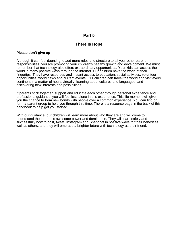## **Part 5**

## **There Is Hope**

#### **Please don't give up**

Although it can feel daunting to add more rules and structure to all your other parent responsibilities, you are promoting your children's healthy growth and development. We must remember that technology also offers extraordinary opportunities. Your kids can access the world in many positive ways through the Internet. Our children have the world at their fingertips. They have resources and instant access to education, social activities, volunteer opportunities, world news and current events. Our children can travel the world and visit every continent in a matter of hours virtually, learning about cultures and languages, and discovering new interests and possibilities.

If parents stick together, support and educate each other through personal experience and professional guidance, you will feel less alone in this experience. This life moment will give you the chance to form new bonds with people over a common experience. You can find or form a parent group to help you through this time. There is a resource page in the back of this handbook to help get you started.

With our guidance, our children will learn more about who they are and will come to understand the Internet's awesome power and dominance. They will learn safely and successfully how to post, tweet, Instagram and Snapchat in positive ways for their benefit as well as others, and they will embrace a brighter future with technology as their friend.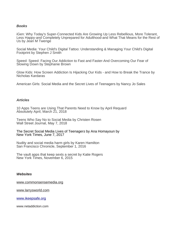#### **Books**

iGen: Why Today's Super-Connected Kids Are Growing Up Less Rebellious, More Tolerant, Less Happy-and Completely Unprepared for Adulthood-and What That Means for the Rest of Us by Jean M Twenge

Social Media: Your Child's Digital Tattoo: Understanding & Managing Your Child's Digital Footprint by Stephen J Smith

Speed: Speed: Facing Our Addiction to Fast and Faster-And Overcoming Our Fear of Slowing Down by Stephanie Brown

Glow Kids: How Screen Addiction Is Hijacking Our Kids - and How to Break the Trance by Nicholas Kardaras

American Girls: Social Media and the Secret Lives of Teenagers by Nancy Jo Sales

#### **Articles**

10 Apps Teens are Using That Parents Need to Know by April Requard Absolutely April, March 21, 2018

Teens Who Say No to Social Media by Christen Rosen Wall Street Journal, May 7, 2018

The Secret Social Media Lives of Teenagers by Ana Homayoun by New York Times, June 7, 2017

Nudity and social media harm girls by Karen Hamilton San Francisco Chronicle, September 1, 2016

The vault apps that keep sexts a secret by Katie Rogers New York Times, November 6, 2015

#### **Websites**

[www.commonsensemedia.org](http://www.commonsensemedia.org/)

[www.larrysworld.com](http://www.larrysworld.com/)

[www.ikeepsafe.org](http://www.ikeepsafe.org/)

www.netaddiction.com